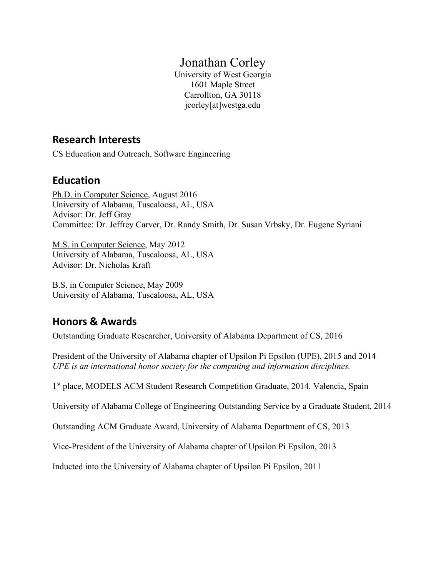# Jonathan Corley

University of West Georgia 1601 Maple Street Carrollton, GA 30118 jcorley[at]westga.edu

# **Research Interests**

CS Education and Outreach, Software Engineering

# **Education**

Ph.D. in Computer Science, August 2016 University of Alabama, Tuscaloosa, AL, USA Advisor: Dr. Jeff Gray Committee: Dr. Jeffrey Carver, Dr. Randy Smith, Dr. Susan Vrbsky, Dr. Eugene Syriani

M.S. in Computer Science, May 2012 University of Alabama, Tuscaloosa, AL, USA Advisor: Dr. Nicholas Kraft

B.S. in Computer Science, May 2009 University of Alabama, Tuscaloosa, AL, USA

# **Honors & Awards**

Outstanding Graduate Researcher, University of Alabama Department of CS, 2016

President of the University of Alabama chapter of Upsilon Pi Epsilon (UPE), 2015 and 2014 *UPE is an international honor society for the computing and information disciplines.*

1<sup>st</sup> place, MODELS ACM Student Research Competition Graduate, 2014. Valencia, Spain

University of Alabama College of Engineering Outstanding Service by a Graduate Student, 2014

Outstanding ACM Graduate Award, University of Alabama Department of CS, 2013

Vice-President of the University of Alabama chapter of Upsilon Pi Epsilon, 2013

Inducted into the University of Alabama chapter of Upsilon Pi Epsilon, 2011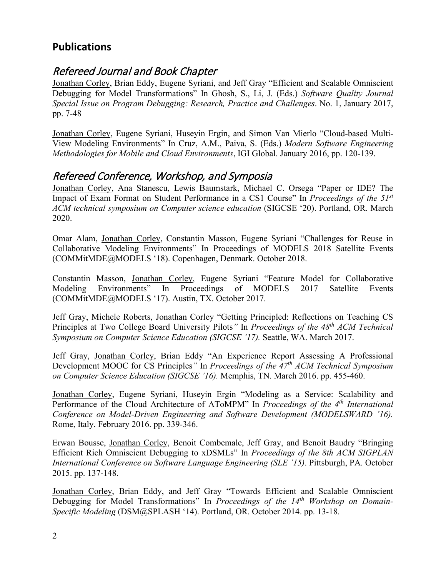# **Publications**

# Refereed Journal and Book Chapter

Jonathan Corley, Brian Eddy, Eugene Syriani, and Jeff Gray "Efficient and Scalable Omniscient Debugging for Model Transformations" In Ghosh, S., Li, J. (Eds.) *Software Quality Journal Special Issue on Program Debugging: Research, Practice and Challenges*. No. 1, January 2017, pp. 7-48

Jonathan Corley, Eugene Syriani, Huseyin Ergin, and Simon Van Mierlo "Cloud-based Multi-View Modeling Environments" In Cruz, A.M., Paiva, S. (Eds.) *Modern Software Engineering Methodologies for Mobile and Cloud Environments*, IGI Global. January 2016, pp. 120-139.

# Refereed Conference, Workshop, and Symposia

Jonathan Corley, Ana Stanescu, Lewis Baumstark, Michael C. Orsega "Paper or IDE? The Impact of Exam Format on Student Performance in a CS1 Course" In *Proceedings of the 51st ACM technical symposium on Computer science education* (SIGCSE '20). Portland, OR. March 2020.

Omar Alam, Jonathan Corley, Constantin Masson, Eugene Syriani "Challenges for Reuse in Collaborative Modeling Environments" In Proceedings of MODELS 2018 Satellite Events (COMMitMDE@MODELS '18). Copenhagen, Denmark. October 2018.

Constantin Masson, Jonathan Corley, Eugene Syriani "Feature Model for Collaborative Modeling Environments" In Proceedings of MODELS 2017 Satellite Events (COMMitMDE@MODELS '17). Austin, TX. October 2017.

Jeff Gray, Michele Roberts, Jonathan Corley "Getting Principled: Reflections on Teaching CS Principles at Two College Board University Pilots*"* In *Proceedings of the 48th ACM Technical Symposium on Computer Science Education (SIGCSE '17).* Seattle, WA. March 2017.

Jeff Gray, Jonathan Corley, Brian Eddy "An Experience Report Assessing A Professional Development MOOC for CS Principles*"* In *Proceedings of the 47th ACM Technical Symposium on Computer Science Education (SIGCSE '16).* Memphis, TN. March 2016. pp. 455-460.

Jonathan Corley, Eugene Syriani, Huseyin Ergin "Modeling as a Service: Scalability and Performance of the Cloud Architecture of AToMPM" In *Proceedings of the 4th International Conference on Model-Driven Engineering and Software Development (MODELSWARD '16).*  Rome, Italy. February 2016. pp. 339-346.

Erwan Bousse, Jonathan Corley, Benoit Combemale, Jeff Gray, and Benoit Baudry "Bringing Efficient Rich Omniscient Debugging to xDSMLs" In *Proceedings of the 8th ACM SIGPLAN International Conference on Software Language Engineering (SLE '15)*. Pittsburgh, PA. October 2015. pp. 137-148.

Jonathan Corley, Brian Eddy, and Jeff Gray "Towards Efficient and Scalable Omniscient Debugging for Model Transformations" In *Proceedings of the 14th Workshop on Domain-Specific Modeling* (DSM@SPLASH '14). Portland, OR. October 2014. pp. 13-18.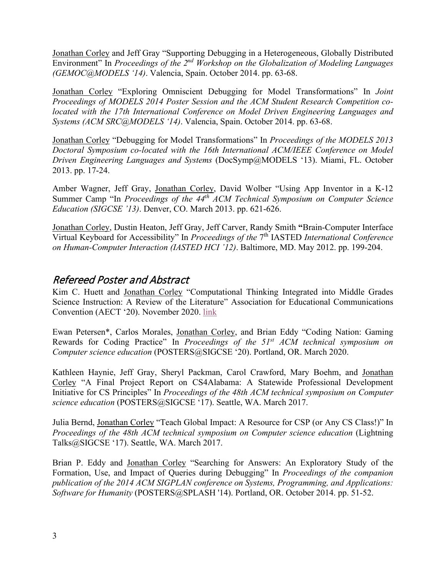Jonathan Corley and Jeff Gray "Supporting Debugging in a Heterogeneous, Globally Distributed Environment" In *Proceedings of the 2nd Workshop on the Globalization of Modeling Languages (GEMOC@MODELS '14)*. Valencia, Spain. October 2014. pp. 63-68.

Jonathan Corley "Exploring Omniscient Debugging for Model Transformations" In *Joint Proceedings of MODELS 2014 Poster Session and the ACM Student Research Competition colocated with the 17th International Conference on Model Driven Engineering Languages and Systems (ACM SRC@MODELS '14)*. Valencia, Spain. October 2014. pp. 63-68.

Jonathan Corley "Debugging for Model Transformations" In *Proceedings of the MODELS 2013 Doctoral Symposium co-located with the 16th International ACM/IEEE Conference on Model Driven Engineering Languages and Systems* (DocSymp@MODELS '13). Miami, FL. October 2013. pp. 17-24.

Amber Wagner, Jeff Gray, Jonathan Corley, David Wolber "Using App Inventor in a K-12 Summer Camp "In *Proceedings of the 44th ACM Technical Symposium on Computer Science Education (SIGCSE '13)*. Denver, CO. March 2013. pp. 621-626.

Jonathan Corley, Dustin Heaton, Jeff Gray, Jeff Carver, Randy Smith **"**Brain-Computer Interface Virtual Keyboard for Accessibility" In *Proceedings of the* 7th IASTED *International Conference on Human-Computer Interaction (IASTED HCI '12)*. Baltimore, MD. May 2012. pp. 199-204.

# Refereed Poster and Abstract

Kim C. Huett and Jonathan Corley "Computational Thinking Integrated into Middle Grades Science Instruction: A Review of the Literature" Association for Educational Communications Convention (AECT '20). November 2020. [link](https://aect2020-aect.ipostersessions.com/default.aspx?s=5A-89-B9-75-C1-B6-2C-6E-22-48-0F-29-13-90-67-22&guestview=true)

Ewan Petersen\*, Carlos Morales, Jonathan Corley, and Brian Eddy "Coding Nation: Gaming Rewards for Coding Practice" In *Proceedings of the 51st ACM technical symposium on Computer science education* (POSTERS@SIGCSE '20). Portland, OR. March 2020.

Kathleen Haynie, Jeff Gray, Sheryl Packman, Carol Crawford, Mary Boehm, and Jonathan Corley "A Final Project Report on CS4Alabama: A Statewide Professional Development Initiative for CS Principles" In *Proceedings of the 48th ACM technical symposium on Computer science education* (POSTERS@SIGCSE '17). Seattle, WA. March 2017.

Julia Bernd, Jonathan Corley "Teach Global Impact: A Resource for CSP (or Any CS Class!)" In *Proceedings of the 48th ACM technical symposium on Computer science education* (Lightning Talks@SIGCSE '17). Seattle, WA. March 2017.

Brian P. Eddy and Jonathan Corley "Searching for Answers: An Exploratory Study of the Formation, Use, and Impact of Queries during Debugging" In *Proceedings of the companion publication of the 2014 ACM SIGPLAN conference on Systems, Programming, and Applications: Software for Humanity* (POSTERS@SPLASH '14). Portland, OR. October 2014. pp. 51-52.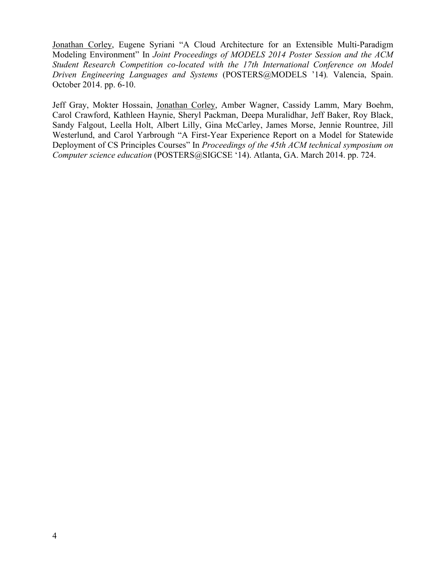Jonathan Corley, Eugene Syriani "A Cloud Architecture for an Extensible Multi-Paradigm Modeling Environment" In *Joint Proceedings of MODELS 2014 Poster Session and the ACM Student Research Competition co-located with the 17th International Conference on Model Driven Engineering Languages and Systems* (POSTERS@MODELS '14)*.* Valencia, Spain. October 2014. pp. 6-10.

Jeff Gray, Mokter Hossain, Jonathan Corley, Amber Wagner, Cassidy Lamm, Mary Boehm, Carol Crawford, Kathleen Haynie, Sheryl Packman, Deepa Muralidhar, Jeff Baker, Roy Black, Sandy Falgout, Leella Holt, Albert Lilly, Gina McCarley, James Morse, Jennie Rountree, Jill Westerlund, and Carol Yarbrough "A First-Year Experience Report on a Model for Statewide Deployment of CS Principles Courses" In *Proceedings of the 45th ACM technical symposium on Computer science education* (POSTERS@SIGCSE '14). Atlanta, GA. March 2014. pp. 724.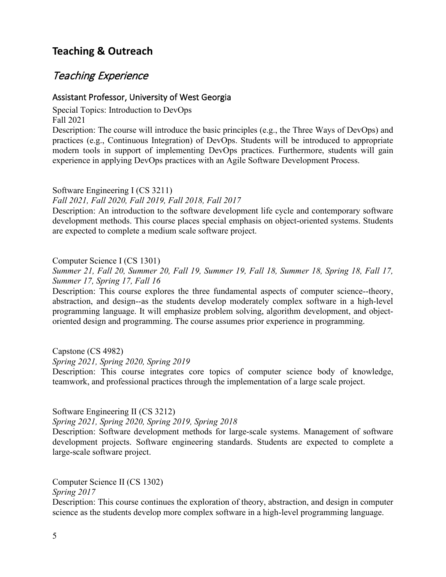# **Teaching & Outreach**

# Teaching Experience

### Assistant Professor, University of West Georgia

Special Topics: Introduction to DevOps Fall 2021

Description: The course will introduce the basic principles (e.g., the Three Ways of DevOps) and practices (e.g., Continuous Integration) of DevOps. Students will be introduced to appropriate modern tools in support of implementing DevOps practices. Furthermore, students will gain experience in applying DevOps practices with an Agile Software Development Process.

Software Engineering I (CS 3211) *Fall 2021, Fall 2020, Fall 2019, Fall 2018, Fall 2017*

Description: An introduction to the software development life cycle and contemporary software development methods. This course places special emphasis on object-oriented systems. Students are expected to complete a medium scale software project.

#### Computer Science I (CS 1301)

*Summer 21, Fall 20, Summer 20, Fall 19, Summer 19, Fall 18, Summer 18, Spring 18, Fall 17, Summer 17, Spring 17, Fall 16*

Description: This course explores the three fundamental aspects of computer science--theory, abstraction, and design--as the students develop moderately complex software in a high-level programming language. It will emphasize problem solving, algorithm development, and objectoriented design and programming. The course assumes prior experience in programming.

Capstone (CS 4982) *Spring 2021, Spring 2020, Spring 2019*

Description: This course integrates core topics of computer science body of knowledge, teamwork, and professional practices through the implementation of a large scale project.

Software Engineering II (CS 3212)

*Spring 2021, Spring 2020, Spring 2019, Spring 2018*

Description: Software development methods for large-scale systems. Management of software development projects. Software engineering standards. Students are expected to complete a large-scale software project.

Computer Science II (CS 1302)

*Spring 2017*

Description: This course continues the exploration of theory, abstraction, and design in computer science as the students develop more complex software in a high-level programming language.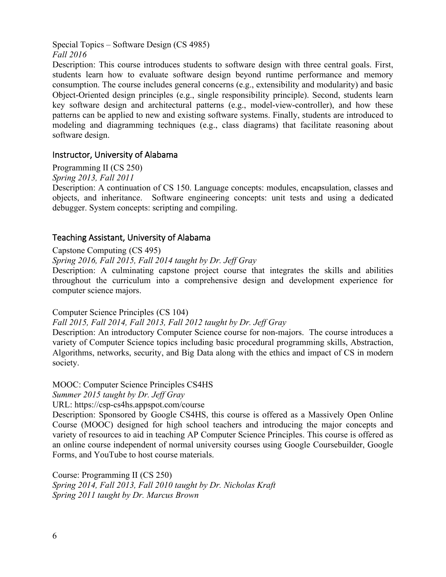Special Topics – Software Design (CS 4985) *Fall 2016*

Description: This course introduces students to software design with three central goals. First, students learn how to evaluate software design beyond runtime performance and memory consumption. The course includes general concerns (e.g., extensibility and modularity) and basic Object-Oriented design principles (e.g., single responsibility principle). Second, students learn key software design and architectural patterns (e.g., model-view-controller), and how these patterns can be applied to new and existing software systems. Finally, students are introduced to modeling and diagramming techniques (e.g., class diagrams) that facilitate reasoning about software design.

### Instructor, University of Alabama

Programming II (CS 250)

*Spring 2013, Fall 2011*

Description: A continuation of CS 150. Language concepts: modules, encapsulation, classes and objects, and inheritance. Software engineering concepts: unit tests and using a dedicated debugger. System concepts: scripting and compiling.

### Teaching Assistant, University of Alabama

#### Capstone Computing (CS 495)

*Spring 2016, Fall 2015, Fall 2014 taught by Dr. Jeff Gray*

Description: A culminating capstone project course that integrates the skills and abilities throughout the curriculum into a comprehensive design and development experience for computer science majors.

Computer Science Principles (CS 104)

*Fall 2015, Fall 2014, Fall 2013, Fall 2012 taught by Dr. Jeff Gray*

Description: An introductory Computer Science course for non-majors. The course introduces a variety of Computer Science topics including basic procedural programming skills, Abstraction, Algorithms, networks, security, and Big Data along with the ethics and impact of CS in modern society.

### MOOC: Computer Science Principles CS4HS

*Summer 2015 taught by Dr. Jeff Gray*

URL: https://csp-cs4hs.appspot.com/course

Description: Sponsored by Google CS4HS, this course is offered as a Massively Open Online Course (MOOC) designed for high school teachers and introducing the major concepts and variety of resources to aid in teaching AP Computer Science Principles. This course is offered as an online course independent of normal university courses using Google Coursebuilder, Google Forms, and YouTube to host course materials.

Course: Programming II (CS 250) *Spring 2014, Fall 2013, Fall 2010 taught by Dr. Nicholas Kraft Spring 2011 taught by Dr. Marcus Brown*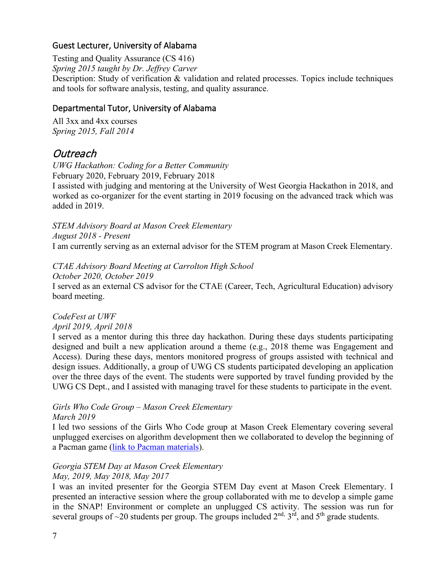### Guest Lecturer, University of Alabama

Testing and Quality Assurance (CS 416)

*Spring 2015 taught by Dr. Jeffrey Carver*

Description: Study of verification & validation and related processes. Topics include techniques and tools for software analysis, testing, and quality assurance.

### Departmental Tutor, University of Alabama

All 3xx and 4xx courses *Spring 2015, Fall 2014*

# Outreach

*UWG Hackathon: Coding for a Better Community* February 2020, February 2019, February 2018

I assisted with judging and mentoring at the University of West Georgia Hackathon in 2018, and worked as co-organizer for the event starting in 2019 focusing on the advanced track which was added in 2019.

*STEM Advisory Board at Mason Creek Elementary August 2018 - Present* I am currently serving as an external advisor for the STEM program at Mason Creek Elementary.

*CTAE Advisory Board Meeting at Carrolton High School*

*October 2020, October 2019* I served as an external CS advisor for the CTAE (Career, Tech, Agricultural Education) advisory board meeting.

*CodeFest at UWF*

### *April 2019, April 2018*

I served as a mentor during this three day hackathon. During these days students participating designed and built a new application around a theme (e.g., 2018 theme was Engagement and Access). During these days, mentors monitored progress of groups assisted with technical and design issues. Additionally, a group of UWG CS students participated developing an application over the three days of the event. The students were supported by travel funding provided by the UWG CS Dept., and I assisted with managing travel for these students to participate in the event.

### *Girls Who Code Group – Mason Creek Elementary March 2019*

I led two sessions of the Girls Who Code group at Mason Creek Elementary covering several unplugged exercises on algorithm development then we collaborated to develop the beginning of a Pacman game (link to Pacman materials).

### *Georgia STEM Day at Mason Creek Elementary May, 2019, May 2018, May 2017*

I was an invited presenter for the Georgia STEM Day event at Mason Creek Elementary. I presented an interactive session where the group collaborated with me to develop a simple game in the SNAP! Environment or complete an unplugged CS activity. The session was run for several groups of  $\sim$ 20 students per group. The groups included  $2<sup>nd</sup>$ ,  $3<sup>rd</sup>$ , and  $5<sup>th</sup>$  grade students.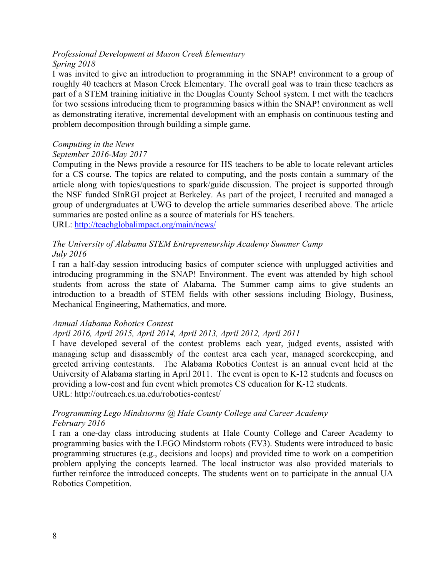#### *Professional Development at Mason Creek Elementary Spring 2018*

I was invited to give an introduction to programming in the SNAP! environment to a group of roughly 40 teachers at Mason Creek Elementary. The overall goal was to train these teachers as part of a STEM training initiative in the Douglas County School system. I met with the teachers for two sessions introducing them to programming basics within the SNAP! environment as well as demonstrating iterative, incremental development with an emphasis on continuous testing and problem decomposition through building a simple game.

### *Computing in the News*

### *September 2016-May 2017*

Computing in the News provide a resource for HS teachers to be able to locate relevant articles for a CS course. The topics are related to computing, and the posts contain a summary of the article along with topics/questions to spark/guide discussion. The project is supported through the NSF funded SInRGI project at Berkeley. As part of the project, I recruited and managed a group of undergraduates at UWG to develop the article summaries described above. The article summaries are posted online as a source of materials for HS teachers.

URL:<http://teachglobalimpact.org/main/news/>

#### *The University of Alabama STEM Entrepreneurship Academy Summer Camp July 2016*

I ran a half-day session introducing basics of computer science with unplugged activities and introducing programming in the SNAP! Environment. The event was attended by high school students from across the state of Alabama. The Summer camp aims to give students an introduction to a breadth of STEM fields with other sessions including Biology, Business, Mechanical Engineering, Mathematics, and more.

### *Annual Alabama Robotics Contest*

### *April 2016, April 2015, April 2014, April 2013, April 2012, April 2011*

I have developed several of the contest problems each year, judged events, assisted with managing setup and disassembly of the contest area each year, managed scorekeeping, and greeted arriving contestants.The Alabama Robotics Contest is an annual event held at the University of Alabama starting in April 2011. The event is open to K-12 students and focuses on providing a low-cost and fun event which promotes CS education for K-12 students. URL:<http://outreach.cs.ua.edu/robotics-contest/>

#### *Programming Lego Mindstorms @ Hale County College and Career Academy February 2016*

I ran a one-day class introducing students at Hale County College and Career Academy to programming basics with the LEGO Mindstorm robots (EV3). Students were introduced to basic programming structures (e.g., decisions and loops) and provided time to work on a competition problem applying the concepts learned. The local instructor was also provided materials to further reinforce the introduced concepts. The students went on to participate in the annual UA Robotics Competition.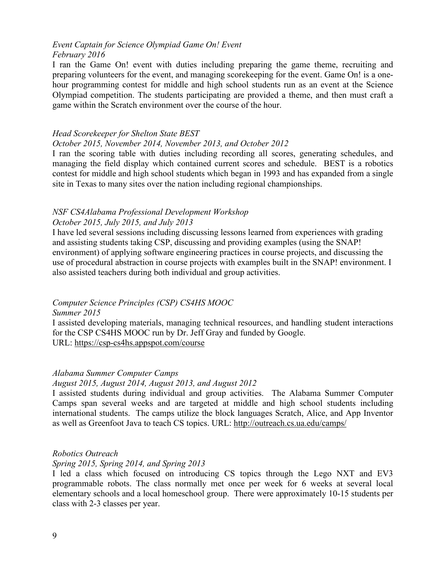#### *Event Captain for Science Olympiad Game On! Event February 2016*

I ran the Game On! event with duties including preparing the game theme, recruiting and preparing volunteers for the event, and managing scorekeeping for the event. Game On! is a onehour programming contest for middle and high school students run as an event at the Science Olympiad competition. The students participating are provided a theme, and then must craft a game within the Scratch environment over the course of the hour.

#### *Head Scorekeeper for Shelton State BEST*

#### *October 2015, November 2014, November 2013, and October 2012*

I ran the scoring table with duties including recording all scores, generating schedules, and managing the field display which contained current scores and schedule. BEST is a robotics contest for middle and high school students which began in 1993 and has expanded from a single site in Texas to many sites over the nation including regional championships.

### *NSF CS4Alabama Professional Development Workshop*

#### *October 2015, July 2015, and July 2013*

I have led several sessions including discussing lessons learned from experiences with grading and assisting students taking CSP, discussing and providing examples (using the SNAP! environment) of applying software engineering practices in course projects, and discussing the use of procedural abstraction in course projects with examples built in the SNAP! environment. I also assisted teachers during both individual and group activities.

### *Computer Science Principles (CSP) CS4HS MOOC*

*Summer 2015*

I assisted developing materials, managing technical resources, and handling student interactions for the CSP CS4HS MOOC run by Dr. Jeff Gray and funded by Google. URL:<https://csp-cs4hs.appspot.com/course>

#### *Alabama Summer Computer Camps*

#### *August 2015, August 2014, August 2013, and August 2012*

I assisted students during individual and group activities. The Alabama Summer Computer Camps span several weeks and are targeted at middle and high school students including international students. The camps utilize the block languages Scratch, Alice, and App Inventor as well as Greenfoot Java to teach CS topics. URL:<http://outreach.cs.ua.edu/camps/>

#### *Robotics Outreach*

#### *Spring 2015, Spring 2014, and Spring 2013*

I led a class which focused on introducing CS topics through the Lego NXT and EV3 programmable robots. The class normally met once per week for 6 weeks at several local elementary schools and a local homeschool group. There were approximately 10-15 students per class with 2-3 classes per year.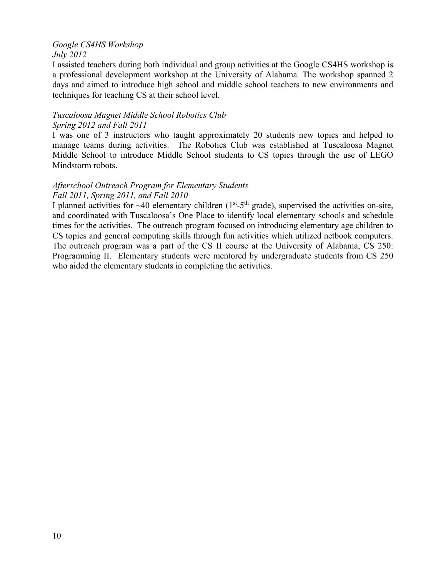#### *Google CS4HS Workshop July 2012*

I assisted teachers during both individual and group activities at the Google CS4HS workshop is a professional development workshop at the University of Alabama. The workshop spanned 2 days and aimed to introduce high school and middle school teachers to new environments and techniques for teaching CS at their school level.

#### *Tuscaloosa Magnet Middle School Robotics Club Spring 2012 and Fall 2011*

I was one of 3 instructors who taught approximately 20 students new topics and helped to manage teams during activities. The Robotics Club was established at Tuscaloosa Magnet Middle School to introduce Middle School students to CS topics through the use of LEGO Mindstorm robots.

### *Afterschool Outreach Program for Elementary Students Fall 2011, Spring 2011, and Fall 2010*

I planned activities for  $\sim$ 40 elementary children (1<sup>st</sup>-5<sup>th</sup> grade), supervised the activities on-site, and coordinated with Tuscaloosa's One Place to identify local elementary schools and schedule times for the activities. The outreach program focused on introducing elementary age children to CS topics and general computing skills through fun activities which utilized netbook computers. The outreach program was a part of the CS II course at the University of Alabama, CS 250: Programming II. Elementary students were mentored by undergraduate students from CS 250 who aided the elementary students in completing the activities.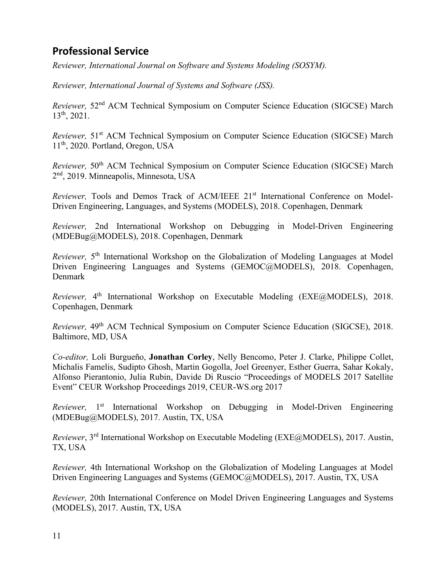# **Professional Service**

*Reviewer, International Journal on Software and Systems Modeling (SOSYM).*

*Reviewer, International Journal of Systems and Software (JSS).*

*Reviewer,* 52nd ACM Technical Symposium on Computer Science Education (SIGCSE) March 13th, 2021.

*Reviewer*, 51<sup>st</sup> ACM Technical Symposium on Computer Science Education (SIGCSE) March 11th, 2020. Portland, Oregon, USA

*Reviewer,* 50th ACM Technical Symposium on Computer Science Education (SIGCSE) March 2nd, 2019. Minneapolis, Minnesota, USA

*Reviewer*, Tools and Demos Track of ACM/IEEE 21<sup>st</sup> International Conference on Model-Driven Engineering, Languages, and Systems (MODELS), 2018. Copenhagen, Denmark

*Reviewer,* 2nd International Workshop on Debugging in Model-Driven Engineering (MDEBug@MODELS), 2018. Copenhagen, Denmark

*Reviewer*, 5<sup>th</sup> International Workshop on the Globalization of Modeling Languages at Model Driven Engineering Languages and Systems (GEMOC@MODELS), 2018. Copenhagen, Denmark

*Reviewer*, 4<sup>th</sup> International Workshop on Executable Modeling (EXE@MODELS), 2018. Copenhagen, Denmark

*Reviewer,* 49th ACM Technical Symposium on Computer Science Education (SIGCSE), 2018. Baltimore, MD, USA

*Co-editor,* Loli Burgueño, **Jonathan Corley**, Nelly Bencomo, Peter J. Clarke, Philippe Collet, Michalis Famelis, Sudipto Ghosh, Martin Gogolla, Joel Greenyer, Esther Guerra, Sahar Kokaly, Alfonso Pierantonio, Julia Rubin, Davide Di Ruscio "Proceedings of MODELS 2017 Satellite Event" CEUR Workshop Proceedings 2019, CEUR-WS.org 2017

*Reviewer*, 1<sup>st</sup> International Workshop on Debugging in Model-Driven Engineering (MDEBug@MODELS), 2017. Austin, TX, USA

*Reviewer*, 3<sup>rd</sup> International Workshop on Executable Modeling (EXE@MODELS), 2017. Austin, TX, USA

*Reviewer,* 4th International Workshop on the Globalization of Modeling Languages at Model Driven Engineering Languages and Systems (GEMOC@MODELS), 2017. Austin, TX, USA

*Reviewer,* 20th International Conference on Model Driven Engineering Languages and Systems (MODELS), 2017. Austin, TX, USA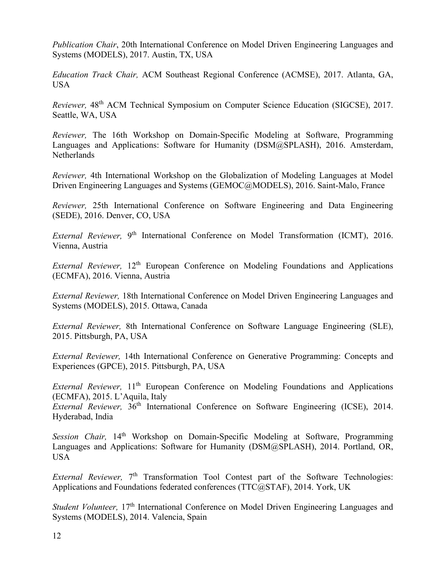*Publication Chair*, 20th International Conference on Model Driven Engineering Languages and Systems (MODELS), 2017. Austin, TX, USA

*Education Track Chair,* ACM Southeast Regional Conference (ACMSE), 2017. Atlanta, GA, USA

*Reviewer*, 48<sup>th</sup> ACM Technical Symposium on Computer Science Education (SIGCSE), 2017. Seattle, WA, USA

*Reviewer,* The 16th Workshop on Domain-Specific Modeling at Software, Programming Languages and Applications: Software for Humanity (DSM@SPLASH), 2016. Amsterdam, **Netherlands** 

*Reviewer,* 4th International Workshop on the Globalization of Modeling Languages at Model Driven Engineering Languages and Systems (GEMOC@MODELS), 2016. Saint-Malo, France

*Reviewer,* 25th International Conference on Software Engineering and Data Engineering (SEDE), 2016. Denver, CO, USA

*External Reviewer*, 9<sup>th</sup> International Conference on Model Transformation (ICMT), 2016. Vienna, Austria

*External Reviewer*, 12<sup>th</sup> European Conference on Modeling Foundations and Applications (ECMFA), 2016. Vienna, Austria

*External Reviewer,* 18th International Conference on Model Driven Engineering Languages and Systems (MODELS), 2015. Ottawa, Canada

*External Reviewer,* 8th International Conference on Software Language Engineering (SLE), 2015. Pittsburgh, PA, USA

*External Reviewer,* 14th International Conference on Generative Programming: Concepts and Experiences (GPCE), 2015. Pittsburgh, PA, USA

*External Reviewer*, 11<sup>th</sup> European Conference on Modeling Foundations and Applications (ECMFA), 2015. L'Aquila, Italy

*External Reviewer*,  $36<sup>th</sup>$  International Conference on Software Engineering (ICSE), 2014. Hyderabad, India

*Session Chair*, 14<sup>th</sup> Workshop on Domain-Specific Modeling at Software, Programming Languages and Applications: Software for Humanity (DSM@SPLASH), 2014. Portland, OR, USA

*External Reviewer*, 7<sup>th</sup> Transformation Tool Contest part of the Software Technologies: Applications and Foundations federated conferences (TTC@STAF), 2014. York, UK

*Student Volunteer*, 17<sup>th</sup> International Conference on Model Driven Engineering Languages and Systems (MODELS), 2014. Valencia, Spain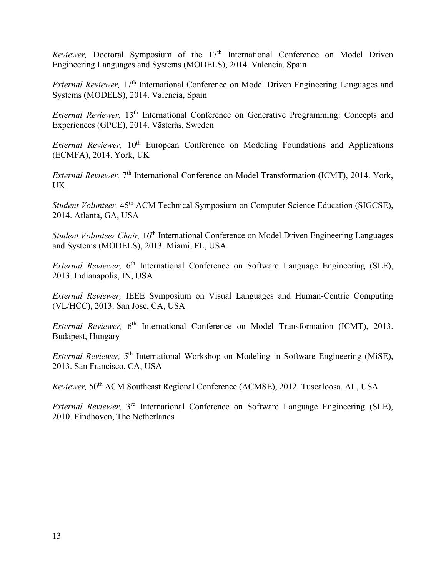*Reviewer*, Doctoral Symposium of the 17<sup>th</sup> International Conference on Model Driven Engineering Languages and Systems (MODELS), 2014. Valencia, Spain

*External Reviewer*, 17<sup>th</sup> International Conference on Model Driven Engineering Languages and Systems (MODELS), 2014. Valencia, Spain

*External Reviewer*, 13<sup>th</sup> International Conference on Generative Programming: Concepts and Experiences (GPCE), 2014. Västerås, Sweden

*External Reviewer*, 10<sup>th</sup> European Conference on Modeling Foundations and Applications (ECMFA), 2014. York, UK

*External Reviewer*, 7<sup>th</sup> International Conference on Model Transformation (ICMT), 2014. York, UK

*Student Volunteer*, 45<sup>th</sup> ACM Technical Symposium on Computer Science Education (SIGCSE). 2014. Atlanta, GA, USA

*Student Volunteer Chair, 16<sup>th</sup>* International Conference on Model Driven Engineering Languages and Systems (MODELS), 2013. Miami, FL, USA

*External Reviewer*, 6<sup>th</sup> International Conference on Software Language Engineering (SLE), 2013. Indianapolis, IN, USA

*External Reviewer,* IEEE Symposium on Visual Languages and Human-Centric Computing (VL/HCC), 2013. San Jose, CA, USA

*External Reviewer*, 6<sup>th</sup> International Conference on Model Transformation (ICMT), 2013. Budapest, Hungary

*External Reviewer*, 5<sup>th</sup> International Workshop on Modeling in Software Engineering (MiSE), 2013. San Francisco, CA, USA

*Reviewer,* 50<sup>th</sup> ACM Southeast Regional Conference (ACMSE), 2012. Tuscaloosa, AL, USA

*External Reviewer,* 3rd International Conference on Software Language Engineering (SLE), 2010. Eindhoven, The Netherlands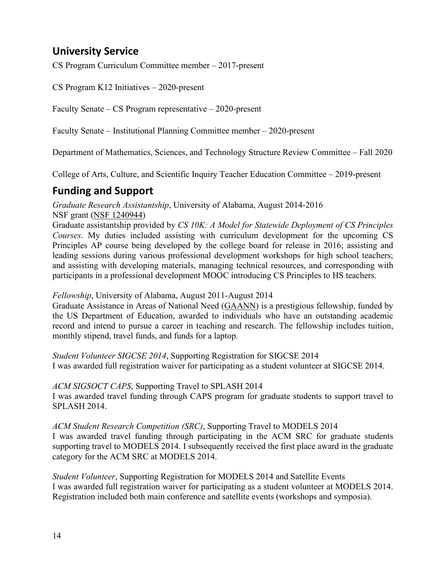# **University Service**

CS Program Curriculum Committee member – 2017-present

CS Program K12 Initiatives – 2020-present

Faculty Senate – CS Program representative – 2020-present

Faculty Senate – Institutional Planning Committee member – 2020-present

Department of Mathematics, Sciences, and Technology Structure Review Committee – Fall 2020

College of Arts, Culture, and Scientific Inquiry Teacher Education Committee – 2019-present

# **Funding and Support**

*Graduate Research Assistantship*, University of Alabama, August 2014-2016 NSF grant [\(NSF 1240944\)](http://www.nsf.gov/awardsearch/showAward?AWD_ID=1240944)

Graduate assistantship provided by *CS 10K: A Model for Statewide Deployment of CS Principles Courses*. My duties included assisting with curriculum development for the upcoming CS Principles AP course being developed by the college board for release in 2016; assisting and leading sessions during various professional development workshops for high school teachers; and assisting with developing materials, managing technical resources, and corresponding with participants in a professional development MOOC introducing CS Principles to HS teachers.

*Fellowship*, University of Alabama, August 2011-August 2014

Graduate Assistance in Areas of National Need [\(GAANN\)](http://www2.ed.gov/programs/gaann/index.html) is a prestigious fellowship, funded by the US Department of Education, awarded to individuals who have an outstanding academic record and intend to pursue a career in teaching and research. The fellowship includes tuition, monthly stipend, travel funds, and funds for a laptop.

*Student Volunteer SIGCSE 2014*, Supporting Registration for SIGCSE 2014 I was awarded full registration waiver for participating as a student volunteer at SIGCSE 2014.

#### *ACM SIGSOCT CAPS*, Supporting Travel to SPLASH 2014

I was awarded travel funding through CAPS program for graduate students to support travel to SPLASH 2014.

#### *ACM Student Research Competition (SRC)*, Supporting Travel to MODELS 2014

I was awarded travel funding through participating in the ACM SRC for graduate students supporting travel to MODELS 2014. I subsequently received the first place award in the graduate category for the ACM SRC at MODELS 2014.

*Student Volunteer*, Supporting Registration for MODELS 2014 and Satellite Events I was awarded full registration waiver for participating as a student volunteer at MODELS 2014. Registration included both main conference and satellite events (workshops and symposia).